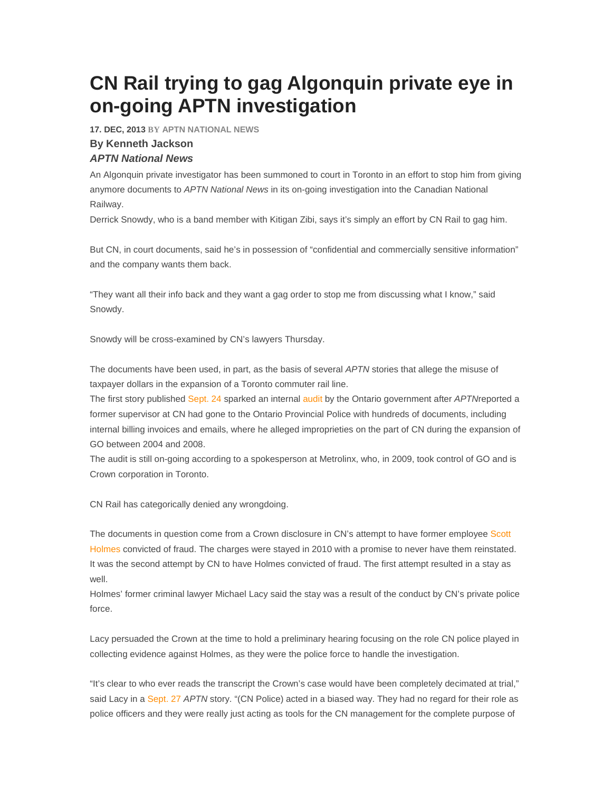## **CN Rail trying to gag Algonquin private eye in on-going APTN investigation**

**17. DEC, 2013 BY APTN NATIONAL NEWS** 

## **By Kenneth Jackson**

## **APTN National News**

An Algonquin private investigator has been summoned to court in Toronto in an effort to stop him from giving anymore documents to APTN National News in its on-going investigation into the Canadian National Railway.

Derrick Snowdy, who is a band member with Kitigan Zibi, says it's simply an effort by CN Rail to gag him.

But CN, in court documents, said he's in possession of "confidential and commercially sensitive information" and the company wants them back.

"They want all their info back and they want a gag order to stop me from discussing what I know," said Snowdy.

Snowdy will be cross-examined by CN's lawyers Thursday.

The documents have been used, in part, as the basis of several APTN stories that allege the misuse of taxpayer dollars in the expansion of a Toronto commuter rail line.

The first story published Sept. 24 sparked an internal audit by the Ontario government after APTNreported a former supervisor at CN had gone to the Ontario Provincial Police with hundreds of documents, including internal billing invoices and emails, where he alleged improprieties on the part of CN during the expansion of GO between 2004 and 2008.

The audit is still on-going according to a spokesperson at Metrolinx, who, in 2009, took control of GO and is Crown corporation in Toronto.

CN Rail has categorically denied any wrongdoing.

The documents in question come from a Crown disclosure in CN's attempt to have former employee Scott Holmes convicted of fraud. The charges were stayed in 2010 with a promise to never have them reinstated. It was the second attempt by CN to have Holmes convicted of fraud. The first attempt resulted in a stay as well.

Holmes' former criminal lawyer Michael Lacy said the stay was a result of the conduct by CN's private police force.

Lacy persuaded the Crown at the time to hold a preliminary hearing focusing on the role CN police played in collecting evidence against Holmes, as they were the police force to handle the investigation.

"It's clear to who ever reads the transcript the Crown's case would have been completely decimated at trial," said Lacy in a Sept. 27 APTN story. "(CN Police) acted in a biased way. They had no regard for their role as police officers and they were really just acting as tools for the CN management for the complete purpose of